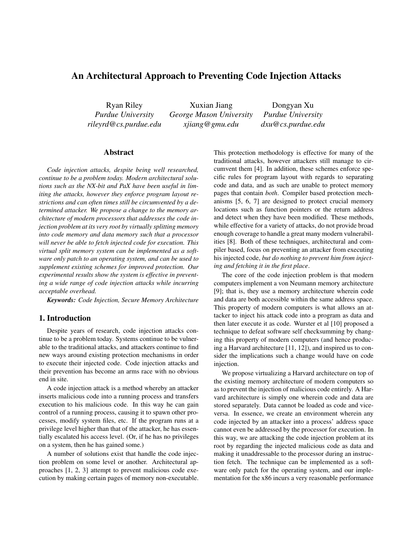# **An Architectural Approach to Preventing Code Injection Attacks**

Ryan Riley Xuxian Jiang Dongyan Xu *Purdue University George Mason University Purdue University rileyrd@cs.purdue.edu xjiang@gmu.edu dxu@cs.purdue.edu*

### **Abstract**

*Code injection attacks, despite being well researched, continue to be a problem today. Modern architectural solutions such as the NX-bit and PaX have been useful in limiting the attacks, however they enforce program layout restrictions and can often times still be circumvented by a determined attacker. We propose a change to the memory architecture of modern processors that addresses the code injection problem at its very root by virtually splitting memory into code memory and data memory such that a processor will never be able to fetch injected code for execution. This virtual split memory system can be implemented as a software only patch to an operating system, and can be used to supplement existing schemes for improved protection. Our experimental results show the system is effective in preventing a wide range of code injection attacks while incurring acceptable overhead.*

*Keywords: Code Injection, Secure Memory Architecture*

### **1. Introduction**

Despite years of research, code injection attacks continue to be a problem today. Systems continue to be vulnerable to the traditional attacks, and attackers continue to find new ways around existing protection mechanisms in order to execute their injected code. Code injection attacks and their prevention has become an arms race with no obvious end in site.

A code injection attack is a method whereby an attacker inserts malicious code into a running process and transfers execution to his malicious code. In this way he can gain control of a running process, causing it to spawn other processes, modify system files, etc. If the program runs at a privilege level higher than that of the attacker, he has essentially escalated his access level. (Or, if he has no privileges on a system, then he has gained some.)

A number of solutions exist that handle the code injection problem on some level or another. Architectural approaches [1, 2, 3] attempt to prevent malicious code execution by making certain pages of memory non-executable. This protection methodology is effective for many of the traditional attacks, however attackers still manage to circumvent them [4]. In addition, these schemes enforce specific rules for program layout with regards to separating code and data, and as such are unable to protect memory pages that contain *both*. Compiler based protection mechanisms [5, 6, 7] are designed to protect crucial memory locations such as function pointers or the return address and detect when they have been modified. These methods, while effective for a variety of attacks, do not provide broad enough coverage to handle a great many modern vulnerabilities [8]. Both of these techniques, architectural and compiler based, focus on preventing an attacker from executing his injected code, *but do nothing to prevent him from injecting and fetching it in the first place*.

The core of the code injection problem is that modern computers implement a von Neumann memory architecture [9]; that is, they use a memory architecture wherein code and data are both accessible within the same address space. This property of modern computers is what allows an attacker to inject his attack code into a program as data and then later execute it as code. Wurster et al [10] proposed a technique to defeat software self checksumming by changing this property of modern computers (and hence producing a Harvard architecture [11, 12]), and inspired us to consider the implications such a change would have on code injection.

We propose virtualizing a Harvard architecture on top of the existing memory architecture of modern computers so as to prevent the injection of malicious code entirely. A Harvard architecture is simply one wherein code and data are stored separately. Data cannot be loaded as code and viceversa. In essence, we create an environment wherein any code injected by an attacker into a process' address space cannot even be addressed by the processor for execution. In this way, we are attacking the code injection problem at its root by regarding the injected malicious code as data and making it unaddressable to the processor during an instruction fetch. The technique can be implemented as a software only patch for the operating system, and our implementation for the x86 incurs a very reasonable performance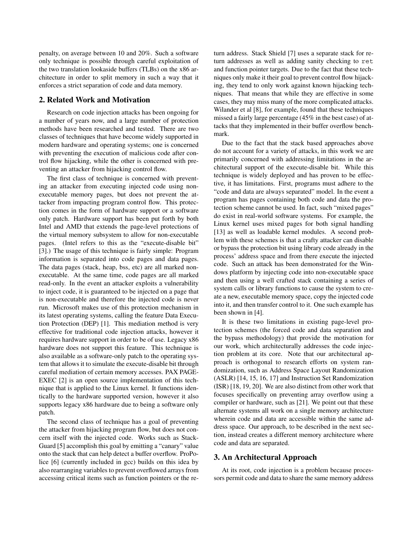penalty, on average between 10 and 20%. Such a software only technique is possible through careful exploitation of the two translation lookaside buffers (TLBs) on the x86 architecture in order to split memory in such a way that it enforces a strict separation of code and data memory.

# **2. Related Work and Motivation**

Research on code injection attacks has been ongoing for a number of years now, and a large number of protection methods have been researched and tested. There are two classes of techniques that have become widely supported in modern hardware and operating systems; one is concerned with preventing the execution of malicious code after control flow hijacking, while the other is concerned with preventing an attacker from hijacking control flow.

The first class of technique is concerned with preventing an attacker from executing injected code using nonexecutable memory pages, but does not prevent the attacker from impacting program control flow. This protection comes in the form of hardware support or a software only patch. Hardware support has been put forth by both Intel and AMD that extends the page-level protections of the virtual memory subsystem to allow for non-executable pages. (Intel refers to this as the "execute-disable bit" [3].) The usage of this technique is fairly simple: Program information is separated into code pages and data pages. The data pages (stack, heap, bss, etc) are all marked nonexecutable. At the same time, code pages are all marked read-only. In the event an attacker exploits a vulnerability to inject code, it is guaranteed to be injected on a page that is non-executable and therefore the injected code is never run. Microsoft makes use of this protection mechanism in its latest operating systems, calling the feature Data Execution Protection (DEP) [1]. This mediation method is very effective for traditional code injection attacks, however it requires hardware support in order to be of use. Legacy x86 hardware does not support this feature. This technique is also available as a software-only patch to the operating system that allows it to simulate the execute-disable bit through careful mediation of certain memory accesses. PAX PAGE-EXEC [2] is an open source implementation of this technique that is applied to the Linux kernel. It functions identically to the hardware supported version, however it also supports legacy x86 hardware due to being a software only patch.

The second class of technique has a goal of preventing the attacker from hijacking program flow, but does not concern itself with the injected code. Works such as Stack-Guard [5] accomplish this goal by emitting a "canary" value onto the stack that can help detect a buffer overflow. ProPolice [6] (currently included in gcc) builds on this idea by also rearranging variables to prevent overflowed arrays from accessing critical items such as function pointers or the return address. Stack Shield [7] uses a separate stack for return addresses as well as adding sanity checking to ret and function pointer targets. Due to the fact that these techniques only make it their goal to prevent control flow hijacking, they tend to only work against known hijacking techniques. That means that while they are effective in some cases, they may miss many of the more complicated attacks. Wilander et al [8], for example, found that these techniques missed a fairly large percentage (45% in the best case) of attacks that they implemented in their buffer overflow benchmark.

Due to the fact that the stack based approaches above do not account for a variety of attacks, in this work we are primarily concerned with addressing limitations in the architectural support of the execute-disable bit. While this technique is widely deployed and has proven to be effective, it has limitations. First, programs must adhere to the "code and data are always separated" model. In the event a program has pages containing both code and data the protection scheme cannot be used. In fact, such "mixed pages" do exist in real-world software systems. For example, the Linux kernel uses mixed pages for both signal handling [13] as well as loadable kernel modules. A second problem with these schemes is that a crafty attacker can disable or bypass the protection bit using library code already in the process' address space and from there execute the injected code. Such an attack has been demonstrated for the Windows platform by injecting code into non-executable space and then using a well crafted stack containing a series of system calls or library functions to cause the system to create a new, executable memory space, copy the injected code into it, and then transfer control to it. One such example has been shown in [4].

It is these two limitations in existing page-level protection schemes (the forced code and data separation and the bypass methodology) that provide the motivation for our work, which architecturally addresses the code injection problem at its core. Note that our architectural approach is orthogonal to research efforts on system randomization, such as Address Space Layout Randomization (ASLR) [14, 15, 16, 17] and Instruction Set Randomization (ISR) [18, 19, 20]. We are also distinct from other work that focuses specifically on preventing array overflow using a compiler or hardware, such as [21]. We point out that these alternate systems all work on a single memory architecture wherein code and data are accessible within the same address space. Our approach, to be described in the next section, instead creates a different memory architecture where code and data are separated.

# **3. An Architectural Approach**

At its root, code injection is a problem because processors permit code and data to share the same memory address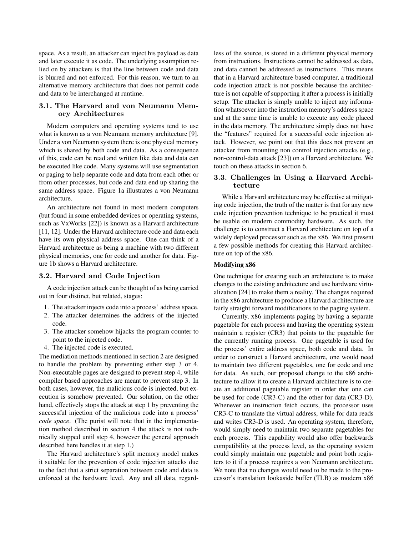space. As a result, an attacker can inject his payload as data and later execute it as code. The underlying assumption relied on by attackers is that the line between code and data is blurred and not enforced. For this reason, we turn to an alternative memory architecture that does not permit code and data to be interchanged at runtime.

# **3.1. The Harvard and von Neumann Memory Architectures**

Modern computers and operating systems tend to use what is known as a von Neumann memory architecture [9]. Under a von Neumann system there is one physical memory which is shared by both code and data. As a consequence of this, code can be read and written like data and data can be executed like code. Many systems will use segmentation or paging to help separate code and data from each other or from other processes, but code and data end up sharing the same address space. Figure 1a illustrates a von Neumann architecture.

An architecture not found in most modern computers (but found in some embedded devices or operating systems, such as VxWorks [22]) is known as a Harvard architecture [11, 12]. Under the Harvard architecture code and data each have its own physical address space. One can think of a Harvard architecture as being a machine with two different physical memories, one for code and another for data. Figure 1b shows a Harvard architecture.

#### **3.2. Harvard and Code Injection**

A code injection attack can be thought of as being carried out in four distinct, but related, stages:

- 1. The attacker injects code into a process' address space.
- 2. The attacker determines the address of the injected code.
- 3. The attacker somehow hijacks the program counter to point to the injected code.
- 4. The injected code is executed.

The mediation methods mentioned in section 2 are designed to handle the problem by preventing either step 3 or 4. Non-executable pages are designed to prevent step 4, while compiler based approaches are meant to prevent step 3. In both cases, however, the malicious code is injected, but execution is somehow prevented. Our solution, on the other hand, effectively stops the attack at step 1 by preventing the successful injection of the malicious code into a process' *code space*. (The purist will note that in the implementation method described in section 4 the attack is not technically stopped until step 4, however the general approach described here handles it at step 1.)

The Harvard architecture's split memory model makes it suitable for the prevention of code injection attacks due to the fact that a strict separation between code and data is enforced at the hardware level. Any and all data, regardless of the source, is stored in a different physical memory from instructions. Instructions cannot be addressed as data, and data cannot be addressed as instructions. This means that in a Harvard architecture based computer, a traditional code injection attack is not possible because the architecture is not capable of supporting it after a process is initially setup. The attacker is simply unable to inject any information whatsoever into the instruction memory's address space and at the same time is unable to execute any code placed in the data memory. The architecture simply does not have the "features" required for a successful code injection attack. However, we point out that this does not prevent an attacker from mounting non control injection attacks (e.g., non-control-data attack [23]) on a Harvard architecture. We touch on these attacks in section 6.

### **3.3. Challenges in Using a Harvard Architecture**

While a Harvard architecture may be effective at mitigating code injection, the truth of the matter is that for any new code injection prevention technique to be practical it must be usable on modern commodity hardware. As such, the challenge is to construct a Harvard architecture on top of a widely deployed processor such as the x86. We first present a few possible methods for creating this Harvard architecture on top of the x86.

#### **Modifying x86**

One technique for creating such an architecture is to make changes to the existing architecture and use hardware virtualization [24] to make them a reality. The changes required in the x86 architecture to produce a Harvard architecture are fairly straight forward modifications to the paging system.

Currently, x86 implements paging by having a separate pagetable for each process and having the operating system maintain a register (CR3) that points to the pagetable for the currently running process. One pagetable is used for the process' entire address space, both code and data. In order to construct a Harvard architecture, one would need to maintain two different pagetables, one for code and one for data. As such, our proposed change to the x86 architecture to allow it to create a Harvard architecture is to create an additional pagetable register in order that one can be used for code (CR3-C) and the other for data (CR3-D). Whenever an instruction fetch occurs, the processor uses CR3-C to translate the virtual address, while for data reads and writes CR3-D is used. An operating system, therefore, would simply need to maintain two separate pagetables for each process. This capability would also offer backwards compatibility at the process level, as the operating system could simply maintain one pagetable and point both registers to it if a process requires a von Neumann architecture. We note that no changes would need to be made to the processor's translation lookaside buffer (TLB) as modern x86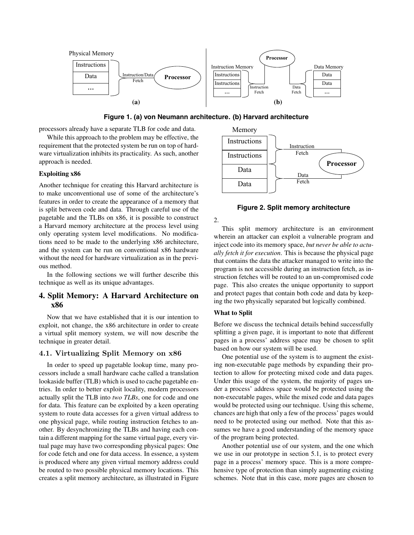

**Figure 1. (a) von Neumann architecture. (b) Harvard architecture**

processors already have a separate TLB for code and data.

While this approach to the problem may be effective, the requirement that the protected system be run on top of hardware virtualization inhibits its practicality. As such, another approach is needed.

#### **Exploiting x86**

Another technique for creating this Harvard architecture is to make unconventional use of some of the architecture's features in order to create the appearance of a memory that is split between code and data. Through careful use of the pagetable and the TLBs on x86, it is possible to construct a Harvard memory architecture at the process level using only operating system level modifications. No modifications need to be made to the underlying x86 architecture, and the system can be run on conventional x86 hardware without the need for hardware virtualization as in the previous method.

In the following sections we will further describe this technique as well as its unique advantages.

# **4. Split Memory: A Harvard Architecture on x86**

Now that we have established that it is our intention to exploit, not change, the x86 architecture in order to create a virtual split memory system, we will now describe the technique in greater detail.

### **4.1. Virtualizing Split Memory on x86**

In order to speed up pagetable lookup time, many processors include a small hardware cache called a translation lookaside buffer (TLB) which is used to cache pagetable entries. In order to better exploit locality, modern processors actually split the TLB into *two TLBs*, one for code and one for data. This feature can be exploited by a keen operating system to route data accesses for a given virtual address to one physical page, while routing instruction fetches to another. By desynchronizing the TLBs and having each contain a different mapping for the same virtual page, every virtual page may have two corresponding physical pages: One for code fetch and one for data access. In essence, a system is produced where any given virtual memory address could be routed to two possible physical memory locations. This creates a split memory architecture, as illustrated in Figure



**Figure 2. Split memory architecture**

2.

This split memory architecture is an environment wherein an attacker can exploit a vulnerable program and inject code into its memory space, *but never be able to actually fetch it for execution*. This is because the physical page that contains the data the attacker managed to write into the program is not accessible during an instruction fetch, as instruction fetches will be routed to an un-compromised code page. This also creates the unique opportunity to support and protect pages that contain both code and data by keeping the two physically separated but logically combined.

#### **What to Split**

Before we discuss the technical details behind successfully splitting a given page, it is important to note that different pages in a process' address space may be chosen to split based on how our system will be used.

One potential use of the system is to augment the existing non-executable page methods by expanding their protection to allow for protecting mixed code and data pages. Under this usage of the system, the majority of pages under a process' address space would be protected using the non-executable pages, while the mixed code and data pages would be protected using our technique. Using this scheme, chances are high that only a few of the process' pages would need to be protected using our method. Note that this assumes we have a good understanding of the memory space of the program being protected.

Another potential use of our system, and the one which we use in our prototype in section 5.1, is to protect every page in a process' memory space. This is a more comprehensive type of protection than simply augmenting existing schemes. Note that in this case, more pages are chosen to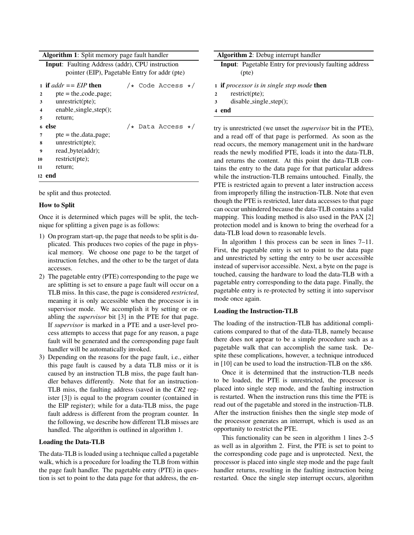| <b>Algorithm 1:</b> Split memory page fault handler                                                     |                                                  |  |  |  |  |  |  |  |
|---------------------------------------------------------------------------------------------------------|--------------------------------------------------|--|--|--|--|--|--|--|
| <b>Input:</b> Faulting Address (addr), CPU instruction<br>pointer (EIP), Pagetable Entry for addr (pte) |                                                  |  |  |  |  |  |  |  |
|                                                                                                         | 1 if $addr == EIP$ then<br>$/*$ Code Access $*/$ |  |  |  |  |  |  |  |
| $\overline{2}$                                                                                          | $pte = the\_code\_page;$                         |  |  |  |  |  |  |  |
| 3                                                                                                       | unrestrict(pte);                                 |  |  |  |  |  |  |  |
| 4                                                                                                       | $enable\_single\_step();$                        |  |  |  |  |  |  |  |
| 5                                                                                                       | return;                                          |  |  |  |  |  |  |  |
|                                                                                                         | 6 else<br>$/*$ Data Access $*/$                  |  |  |  |  |  |  |  |
| 7                                                                                                       | $pte = the_data-page;$                           |  |  |  |  |  |  |  |
| 8                                                                                                       | unrestrict(pte);                                 |  |  |  |  |  |  |  |
| 9                                                                                                       | read_byte(addr);                                 |  |  |  |  |  |  |  |
| 10                                                                                                      | restrict(pte);                                   |  |  |  |  |  |  |  |
| 11                                                                                                      | return;                                          |  |  |  |  |  |  |  |
|                                                                                                         | 12 end                                           |  |  |  |  |  |  |  |

be split and thus protected.

## **How to Split**

Once it is determined which pages will be split, the technique for splitting a given page is as follows:

- 1) On program start-up, the page that needs to be split is duplicated. This produces two copies of the page in physical memory. We choose one page to be the target of instruction fetches, and the other to be the target of data accesses.
- 2) The pagetable entry (PTE) corresponding to the page we are splitting is set to ensure a page fault will occur on a TLB miss. In this case, the page is considered *restricted*, meaning it is only accessible when the processor is in supervisor mode. We accomplish it by setting or enabling the *supervisor* bit [3] in the PTE for that page. If *supervisor* is marked in a PTE and a user-level process attempts to access that page for any reason, a page fault will be generated and the corresponding page fault handler will be automatically invoked.
- 3) Depending on the reasons for the page fault, i.e., either this page fault is caused by a data TLB miss or it is caused by an instruction TLB miss, the page fault handler behaves differently. Note that for an instruction-TLB miss, the faulting address (saved in the *CR2* register [3]) is equal to the program counter (contained in the EIP register); while for a data-TLB miss, the page fault address is different from the program counter. In the following, we describe how different TLB misses are handled. The algorithm is outlined in algorithm 1.

### **Loading the Data-TLB**

The data-TLB is loaded using a technique called a pagetable walk, which is a procedure for loading the TLB from within the page fault handler. The pagetable entry (PTE) in question is set to point to the data page for that address, the en-

| <b>Algorithm 2:</b> Debug interrupt handler                   |  |  |  |  |  |
|---------------------------------------------------------------|--|--|--|--|--|
| <b>Input:</b> Pagetable Entry for previously faulting address |  |  |  |  |  |
| $(\text{pte})$                                                |  |  |  |  |  |
| 1 if processor is in single step mode then                    |  |  |  |  |  |
| $restrict(pte)$ ;<br>$\overline{2}$                           |  |  |  |  |  |
| $disable\_single\_step();$<br>3                               |  |  |  |  |  |
| end                                                           |  |  |  |  |  |

try is unrestricted (we unset the *supervisor* bit in the PTE), and a read off of that page is performed. As soon as the read occurs, the memory management unit in the hardware reads the newly modified PTE, loads it into the data-TLB, and returns the content. At this point the data-TLB contains the entry to the data page for that particular address while the instruction-TLB remains untouched. Finally, the PTE is restricted again to prevent a later instruction access from improperly filling the instruction-TLB. Note that even though the PTE is restricted, later data accesses to that page can occur unhindered because the data-TLB contains a valid mapping. This loading method is also used in the PAX [2] protection model and is known to bring the overhead for a data-TLB load down to reasonable levels.

In algorithm 1 this process can be seen in lines 7–11. First, the pagetable entry is set to point to the data page and unrestricted by setting the entry to be user accessible instead of supervisor accessible. Next, a byte on the page is touched, causing the hardware to load the data-TLB with a pagetable entry corresponding to the data page. Finally, the pagetable entry is re-protected by setting it into supervisor mode once again.

### **Loading the Instruction-TLB**

The loading of the instruction-TLB has additional complications compared to that of the data-TLB, namely because there does not appear to be a simple procedure such as a pagetable walk that can accomplish the same task. Despite these complications, however, a technique introduced in [10] can be used to load the instruction-TLB on the x86.

Once it is determined that the instruction-TLB needs to be loaded, the PTE is unrestricted, the processor is placed into single step mode, and the faulting instruction is restarted. When the instruction runs this time the PTE is read out of the pagetable and stored in the instruction-TLB. After the instruction finishes then the single step mode of the processor generates an interrupt, which is used as an opportunity to restrict the PTE.

This functionality can be seen in algorithm 1 lines 2–5 as well as in algorithm 2. First, the PTE is set to point to the corresponding code page and is unprotected. Next, the processor is placed into single step mode and the page fault handler returns, resulting in the faulting instruction being restarted. Once the single step interrupt occurs, algorithm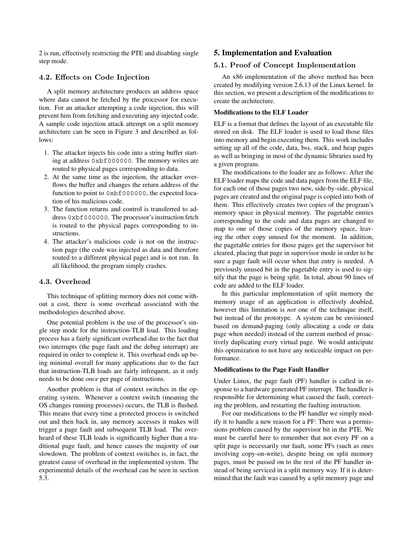2 is run, effectively restricting the PTE and disabling single step mode.

# **4.2. Effects on Code Injection**

A split memory architecture produces an address space where data cannot be fetched by the processor for execution. For an attacker attempting a code injection, this will prevent him from fetching and executing any injected code. A sample code injection attack attempt on a split memory architecture can be seen in Figure 3 and described as follows:

- 1. The attacker injects his code into a string buffer starting at address 0xbf000000. The memory writes are routed to physical pages corresponding to data.
- 2. At the same time as the injection, the attacker overflows the buffer and changes the return address of the function to point to 0xbf000000, the expected location of his malicious code.
- 3. The function returns and control is transferred to address 0xbf000000. The processor's instruction fetch is routed to the physical pages corresponding to instructions.
- 4. The attacker's malicious code is not on the instruction page (the code was injected as data and therefore routed to a different physical page) and is not run. In all likelihood, the program simply crashes.

### **4.3. Overhead**

This technique of splitting memory does not come without a cost, there is some overhead associated with the methodologies described above.

One potential problem is the use of the processor's single step mode for the instruction-TLB load. This loading process has a fairly significant overhead due to the fact that two interrupts (the page fault and the debug interrupt) are required in order to complete it. This overhead ends up being minimal overall for many applications due to the fact that instruction-TLB loads are fairly infrequent, as it only needs to be done *once* per page of instructions.

Another problem is that of context switches in the operating system. Whenever a context switch (meaning the OS changes running processes) occurs, the TLB is flushed. This means that every time a protected process is switched out and then back in, any memory accesses it makes will trigger a page fault and subsequent TLB load. The overheard of these TLB loads is significantly higher than a traditional page fault, and hence causes the majority of our slowdown. The problem of context switches is, in fact, the greatest cause of overhead in the implemented system. The experimental details of the overhead can be seen in section 5.3.

# **5. Implementation and Evaluation**

#### **5.1. Proof of Concept Implementation**

An x86 implementation of the above method has been created by modifying version 2.6.13 of the Linux kernel. In this section, we present a description of the modifications to create the architecture.

#### **Modifications to the ELF Loader**

ELF is a format that defines the layout of an executable file stored on disk. The ELF loader is used to load those files into memory and begin executing them. This work includes setting up all of the code, data, bss, stack, and heap pages as well as bringing in most of the dynamic libraries used by a given program.

The modifications to the loader are as follows: After the ELF loader maps the code and data pages from the ELF file, for each one of those pages two new, side-by-side, physical pages are created and the original page is copied into both of them. This effectively creates two copies of the program's memory space in physical memory. The pagetable entries corresponding to the code and data pages are changed to map to one of those copies of the memory space, leaving the other copy unused for the moment. In addition, the pagetable entries for those pages get the supervisor bit cleared, placing that page in supervisor mode in order to be sure a page fault will occur when that entry is needed. A previously unused bit in the pagetable entry is used to signify that the page is being split. In total, about 90 lines of code are added to the ELF loader.

In this particular implementation of split memory the memory usage of an application is effectively doubled, however this limitation is *not* one of the technique itself, but instead of the prototype. A system can be envisioned based on demand-paging (only allocating a code or data page when needed) instead of the current method of proactively duplicating every virtual page. We would anticipate this optimization to not have any noticeable impact on performance.

### **Modifications to the Page Fault Handler**

Under Linux, the page fault (PF) handler is called in response to a hardware generated PF interrupt. The handler is responsible for determining what caused the fault, correcting the problem, and restarting the faulting instruction.

For our modifications to the PF handler we simply modify it to handle a new reason for a PF: There was a permissions problem caused by the supervisor bit in the PTE. We must be careful here to remember that not every PF on a split page is necessarily our fault, some PFs (such as ones involving copy-on-write), despite being on split memory pages, must be passed on to the rest of the PF handler instead of being serviced in a split memory way. If it is determined that the fault was caused by a split memory page and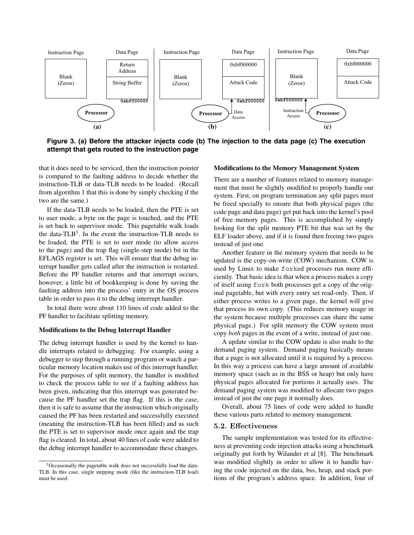

**Figure 3. (a) Before the attacker injects code (b) The injection to the data page (c) The execution attempt that gets routed to the instruction page**

that it does need to be serviced, then the instruction pointer is compared to the faulting address to decide whether the instruction-TLB or data-TLB needs to be loaded. (Recall from algorithm 1 that this is done by simply checking if the two are the same.)

If the data-TLB needs to be loaded, then the PTE is set to user mode, a byte on the page is touched, and the PTE is set back to supervisor mode. This pagetable walk loads the data- $TLB<sup>1</sup>$ . In the event the instruction- $TLB$  needs to be loaded, the PTE is set to user mode (to allow access to the page) and the trap flag (single-step mode) bit in the EFLAGS register is set. This will ensure that the debug interrupt handler gets called after the instruction is restarted. Before the PF handler returns and that interrupt occurs, however, a little bit of bookkeeping is done by saving the faulting address into the process' entry in the OS process table in order to pass it to the debug interrupt handler.

In total there were about 110 lines of code added to the PF handler to facilitate splitting memory.

#### **Modifications to the Debug Interrupt Handler**

The debug interrupt handler is used by the kernel to handle interrupts related to debugging. For example, using a debugger to step through a running program or watch a particular memory location makes use of this interrupt handler. For the purposes of split memory, the handler is modified to check the process table to see if a faulting address has been given, indicating that this interrupt was generated because the PF handler set the trap flag. If this is the case, then it is safe to assume that the instruction which originally caused the PF has been restarted and successfully executed (meaning the instruction-TLB has been filled) and as such the PTE is set to supervisor mode once again and the trap flag is cleared. In total, about 40 lines of code were added to the debug interrupt handler to accommodate these changes.

#### **Modifications to the Memory Management System**

There are a number of features related to memory management that must be slightly modified to properly handle our system. First, on program termination any split pages must be freed specially to ensure that both physical pages (the code page and data page) get put back into the kernel's pool of free memory pages. This is accomplished by simply looking for the split memory PTE bit that was set by the ELF loader above, and if it is found then freeing two pages instead of just one.

Another feature in the memory system that needs to be updated is the copy-on-write (COW) mechanism. COW is used by Linux to make forked processes run more efficiently. That basic idea is that when a process makes a copy of itself using fork both processes get a copy of the original pagetable, but with every entry set read-only. Then, if either process writes to a given page, the kernel will give that process its own copy. (This reduces memory usage in the system because multiple processes can share the same physical page.) For split memory the COW system must copy *both* pages in the event of a write, instead of just one.

A update similar to the COW update is also made to the demand paging system. Demand paging basically means that a page is not allocated until it is required by a process. In this way a process can have a large amount of available memory space (such as in the BSS or heap) but only have physical pages allocated for portions it actually uses. The demand paging system was modified to allocate two pages instead of just the one page it normally does.

Overall, about 75 lines of code were added to handle these various parts related to memory management.

#### **5.2. Effectiveness**

The sample implementation was tested for its effectiveness at preventing code injection attacks using a benchmark originally put forth by Wilander et al [8]. The benchmark was modified slightly in order to allow it to handle having the code injected on the data, bss, heap, and stack portions of the program's address space. In addition, four of

 $1$ Occasionally the pagetable walk does not successfully load the data-TLB. In this case, single stepping mode (like the instruction-TLB load) must be used.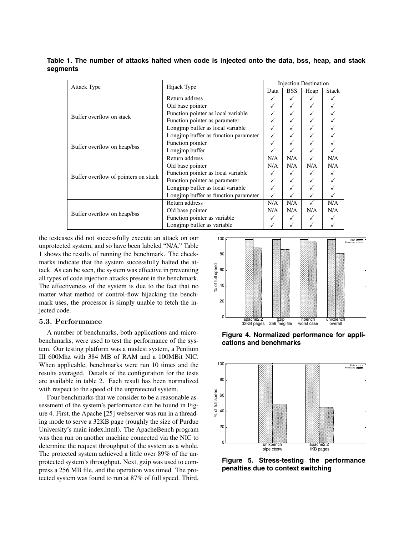**Table 1. The number of attacks halted when code is injected onto the data, bss, heap, and stack segments**

|                                      | Hijack Type                          | <b>Injection Destination</b> |            |      |       |
|--------------------------------------|--------------------------------------|------------------------------|------------|------|-------|
| Attack Type                          |                                      | Data                         | <b>BSS</b> | Heap | Stack |
|                                      | Return address                       |                              |            |      |       |
|                                      | Old base pointer                     |                              |            |      |       |
| Buffer overflow on stack             | Function pointer as local variable   |                              |            |      |       |
|                                      | Function pointer as parameter        |                              |            |      |       |
|                                      | Longimp buffer as local variable     |                              |            |      |       |
|                                      | Longimp buffer as function parameter |                              |            |      |       |
|                                      | Function pointer                     |                              |            |      |       |
| Buffer overflow on heap/bss          | Longjmp buffer                       |                              |            |      |       |
|                                      | Return address                       | N/A                          | N/A        |      | N/A   |
|                                      | Old base pointer                     | N/A                          | N/A        | N/A  | N/A   |
|                                      | Function pointer as local variable   |                              |            |      |       |
| Buffer overflow of pointers on stack | Function pointer as parameter        |                              |            |      |       |
|                                      | Longimp buffer as local variable     |                              |            |      |       |
|                                      | Longimp buffer as function parameter |                              |            |      |       |
|                                      | Return address                       | N/A                          | N/A        |      | N/A   |
|                                      | Old base pointer                     | N/A                          | N/A        | N/A  | N/A   |
| Buffer overflow on heap/bss          | Function pointer as variable         |                              |            |      |       |
|                                      | Longimp buffer as variable           |                              |            |      |       |

the testcases did not successfully execute an attack on our unprotected system, and so have been labeled "N/A." Table 1 shows the results of running the benchmark. The checkmarks indicate that the system successfully halted the attack. As can be seen, the system was effective in preventing all types of code injection attacks present in the benchmark. The effectiveness of the system is due to the fact that no matter what method of control-flow hijacking the benchmark uses, the processor is simply unable to fetch the injected code.

#### **5.3. Performance**

A number of benchmarks, both applications and microbenchmarks, were used to test the performance of the system. Our testing platform was a modest system, a Pentium III 600Mhz with 384 MB of RAM and a 100MBit NIC. When applicable, benchmarks were run 10 times and the results averaged. Details of the configuration for the tests are available in table 2. Each result has been normalized with respect to the speed of the unprotected system.

Four benchmarks that we consider to be a reasonable assessment of the system's performance can be found in Figure 4. First, the Apache [25] webserver was run in a threading mode to serve a 32KB page (roughly the size of Purdue University's main index.html). The ApacheBench program was then run on another machine connected via the NIC to determine the request throughput of the system as a whole. The protected system achieved a little over 89% of the unprotected system's throughput. Next, gzip was used to compress a 256 MB file, and the operation was timed. The protected system was found to run at 87% of full speed. Third,







**Figure 5. Stress-testing the performance penalties due to context switching**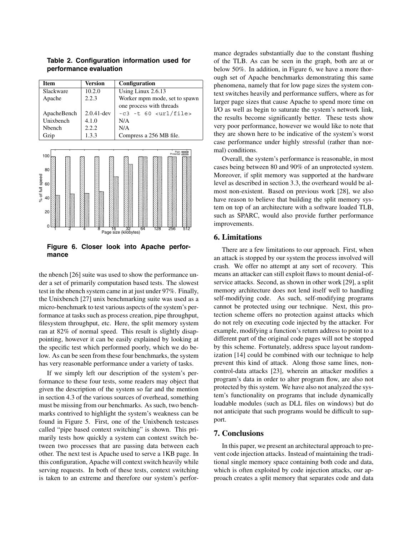**performance evaluation Item Version Configuration** Slackware | 10.2.0 | Using Linux 2.6.13

**Table 2. Configuration information used for**



**Figure 6. Closer look into Apache performance**

the nbench [26] suite was used to show the performance under a set of primarily computation based tests. The slowest test in the nbench system came in at just under 97%. Finally, the Unixbench [27] unix benchmarking suite was used as a micro-benchmark to test various aspects of the system's performance at tasks such as process creation, pipe throughput, filesystem throughput, etc. Here, the split memory system ran at 82% of normal speed. This result is slightly disappointing, however it can be easily explained by looking at the specific test which performed poorly, which we do below. As can be seen from these four benchmarks, the system has very reasonable performance under a variety of tasks.

If we simply left our description of the system's performance to these four tests, some readers may object that given the description of the system so far and the mention in section 4.3 of the various sources of overhead, something must be missing from our benchmarks. As such, two benchmarks contrived to highlight the system's weakness can be found in Figure 5. First, one of the Unixbench testcases called "pipe based context switching" is shown. This primarily tests how quickly a system can context switch between two processes that are passing data between each other. The next test is Apache used to serve a 1KB page. In this configuration, Apache will context switch heavily while serving requests. In both of these tests, context switching is taken to an extreme and therefore our system's performance degrades substantially due to the constant flushing of the TLB. As can be seen in the graph, both are at or below 50%. In addition, in Figure 6, we have a more thorough set of Apache benchmarks demonstrating this same phenomena, namely that for low page sizes the system context switches heavily and performance suffers, where as for larger page sizes that cause Apache to spend more time on I/O as well as begin to saturate the system's network link, the results become significantly better. These tests show very poor performance, however we would like to note that they are shown here to be indicative of the system's worst case performance under highly stressful (rather than normal) conditions.

Overall, the system's performance is reasonable, in most cases being between 80 and 90% of an unprotected system. Moreover, if split memory was supported at the hardware level as described in section 3.3, the overheard would be almost non-existent. Based on previous work [28], we also have reason to believe that building the split memory system on top of an architecture with a software loaded TLB, such as SPARC, would also provide further performance improvements.

## **6. Limitations**

There are a few limitations to our approach. First, when an attack is stopped by our system the process involved will crash. We offer no attempt at any sort of recovery. This means an attacker can still exploit flaws to mount denial-ofservice attacks. Second, as shown in other work [29], a split memory architecture does not lend itself well to handling self-modifying code. As such, self-modifying programs cannot be protected using our technique. Next, this protection scheme offers no protection against attacks which do not rely on executing code injected by the attacker. For example, modifying a function's return address to point to a different part of the original code pages will not be stopped by this scheme. Fortunately, address space layout randomization [14] could be combined with our technique to help prevent this kind of attack. Along those same lines, noncontrol-data attacks [23], wherein an attacker modifies a program's data in order to alter program flow, are also not protected by this system. We have also not analyzed the system's functionality on programs that include dynamically loadable modules (such as DLL files on windows) but do not anticipate that such programs would be difficult to support.

### **7. Conclusions**

In this paper, we present an architectural approach to prevent code injection attacks. Instead of maintaining the traditional single memory space containing both code and data, which is often exploited by code injection attacks, our approach creates a split memory that separates code and data